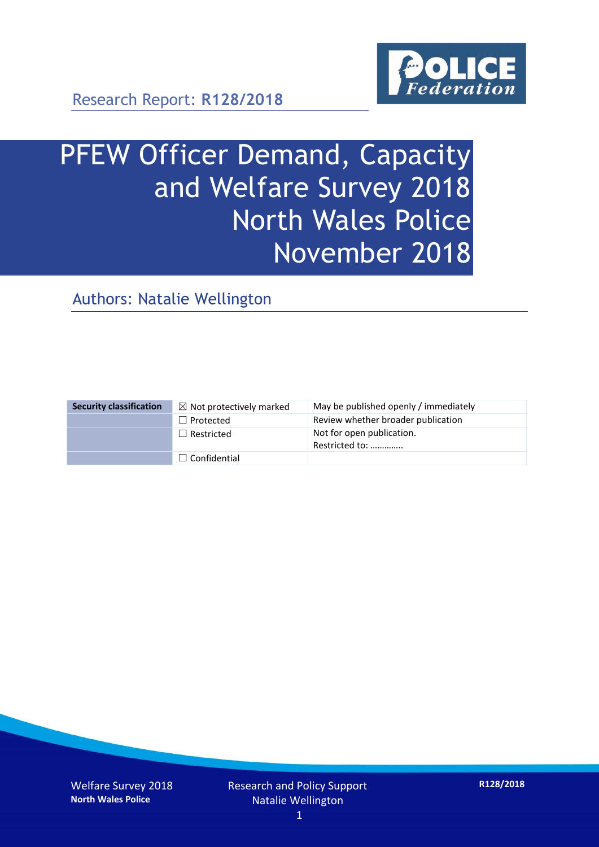

Research Report: **R128/2018**

# PFEW Officer Demand, Capacity and Welfare Survey 2018 North Wales Police November 2018

Authors: Natalie Wellington

| <b>Security classification</b> | $\boxtimes$ Not protectively marked | May be published openly / immediately       |
|--------------------------------|-------------------------------------|---------------------------------------------|
|                                | $\Box$ Protected                    | Review whether broader publication          |
|                                | $\Box$ Restricted                   | Not for open publication.<br>Restricted to: |
|                                | $\Box$ Confidential                 |                                             |

Welfare Survey 2018 **North Wales Police**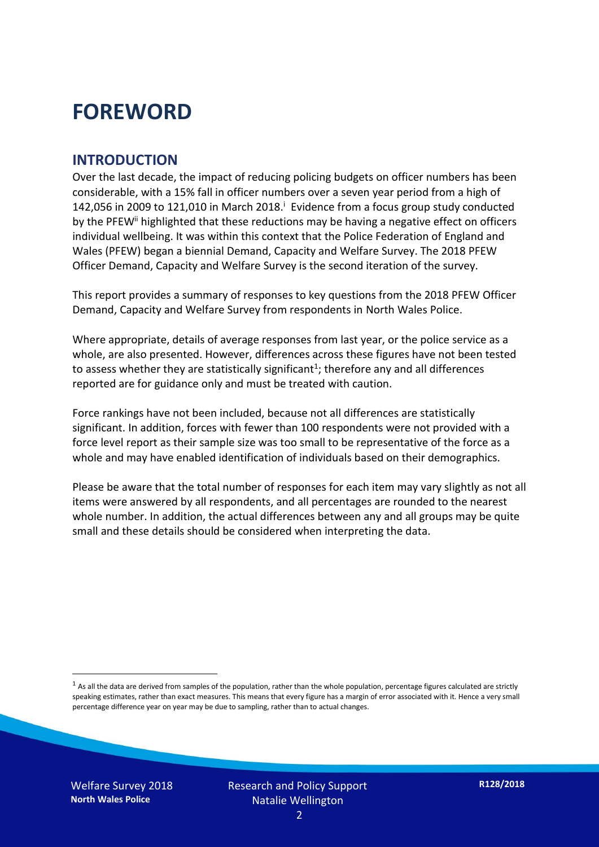## **FOREWORD**

#### **INTRODUCTION**

Over the last decade, the impact of reducing policing budgets on officer numbers has been considerable, with a 15% fall in officer numbers over a seven year period from a high of 142,056 in 2009 to 121,010 in March 2018. $^{\mathrm{i}}$  Evidence from a focus group study conducted by the PFEW<sup>ii</sup> highlighted that these reductions may be having a negative effect on officers individual wellbeing. It was within this context that the Police Federation of England and Wales (PFEW) began a biennial Demand, Capacity and Welfare Survey. The 2018 PFEW Officer Demand, Capacity and Welfare Survey is the second iteration of the survey.

This report provides a summary of responses to key questions from the 2018 PFEW Officer Demand, Capacity and Welfare Survey from respondents in North Wales Police.

Where appropriate, details of average responses from last year, or the police service as a whole, are also presented. However, differences across these figures have not been tested to assess whether they are statistically significant<sup>1</sup>; therefore any and all differences reported are for guidance only and must be treated with caution.

Force rankings have not been included, because not all differences are statistically significant. In addition, forces with fewer than 100 respondents were not provided with a force level report as their sample size was too small to be representative of the force as a whole and may have enabled identification of individuals based on their demographics.

Please be aware that the total number of responses for each item may vary slightly as not all items were answered by all respondents, and all percentages are rounded to the nearest whole number. In addition, the actual differences between any and all groups may be quite small and these details should be considered when interpreting the data.

Welfare Survey 2018 **North Wales Police**

-

 $<sup>1</sup>$  As all the data are derived from samples of the population, rather than the whole population, percentage figures calculated are strictly</sup> speaking estimates, rather than exact measures. This means that every figure has a margin of error associated with it. Hence a very small percentage difference year on year may be due to sampling, rather than to actual changes.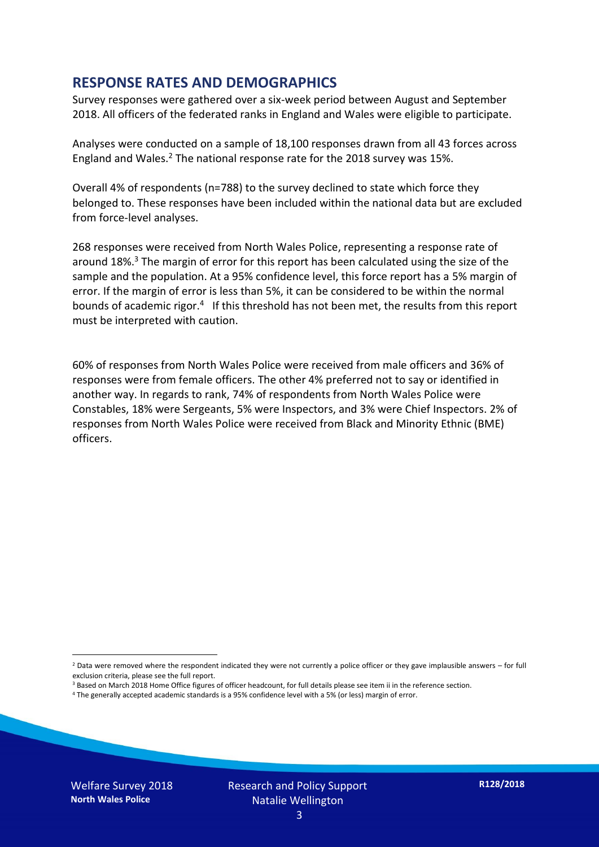#### **RESPONSE RATES AND DEMOGRAPHICS**

Survey responses were gathered over a six-week period between August and September 2018. All officers of the federated ranks in England and Wales were eligible to participate.

Analyses were conducted on a sample of 18,100 responses drawn from all 43 forces across England and Wales.<sup>2</sup> The national response rate for the 2018 survey was 15%.

Overall 4% of respondents (n=788) to the survey declined to state which force they belonged to. These responses have been included within the national data but are excluded from force-level analyses.

268 responses were received from North Wales Police, representing a response rate of around 18%. <sup>3</sup> The margin of error for this report has been calculated using the size of the sample and the population. At a 95% confidence level, this force report has a 5% margin of error. If the margin of error is less than 5%, it can be considered to be within the normal bounds of academic rigor.<sup>4</sup> If this threshold has not been met, the results from this report must be interpreted with caution.

60% of responses from North Wales Police were received from male officers and 36% of responses were from female officers. The other 4% preferred not to say or identified in another way. In regards to rank, 74% of respondents from North Wales Police were Constables, 18% were Sergeants, 5% were Inspectors, and 3% were Chief Inspectors. 2% of responses from North Wales Police were received from Black and Minority Ethnic (BME) officers.

-

 $2$  Data were removed where the respondent indicated they were not currently a police officer or they gave implausible answers – for full exclusion criteria, please see the full report.

<sup>3</sup> Based on March 2018 Home Office figures of officer headcount, for full details please see item ii in the reference section.

<sup>4</sup> The generally accepted academic standards is a 95% confidence level with a 5% (or less) margin of error.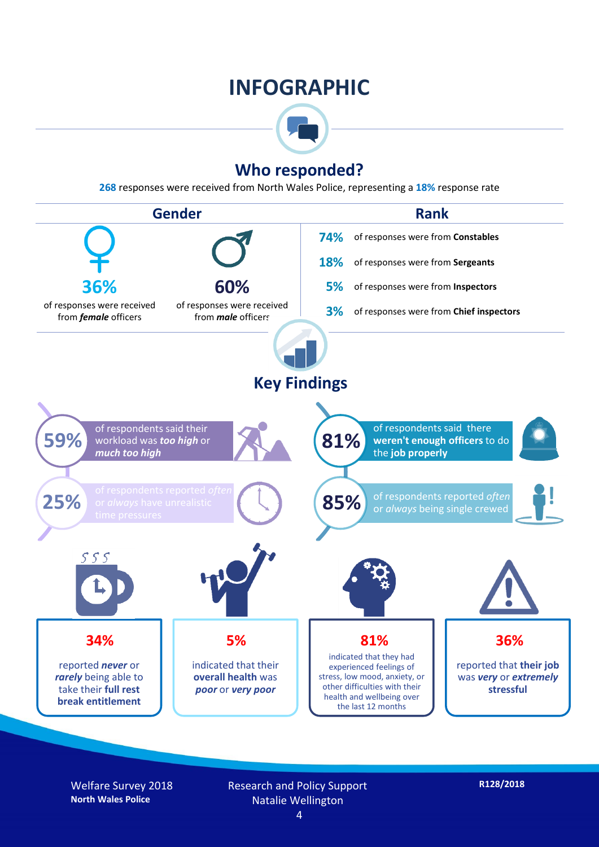## **INFOGRAPHIC**



### **Who responded?**

**268** responses were received from North Wales Police, representing a **18%** response rate



Welfare Survey 2018 **North Wales Police**

Research and Policy Support Natalie Wellington

**R128/2018**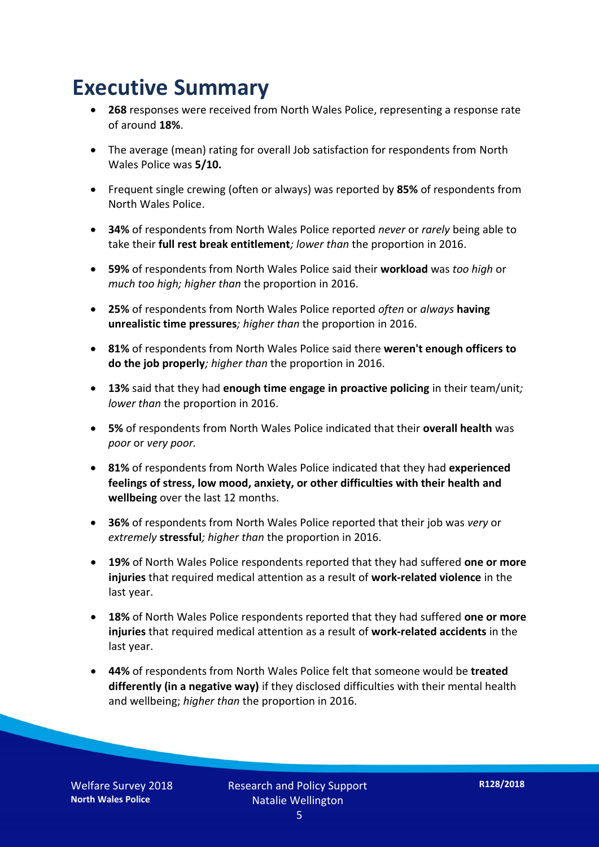## **Executive Summary**

- **268** responses were received from North Wales Police, representing a response rate of around **18%**.
- The average (mean) rating for overall Job satisfaction for respondents from North Wales Police was **5/10.**
- Frequent single crewing (often or always) was reported by **85%** of respondents from North Wales Police.
- **34%** of respondents from North Wales Police reported *never* or *rarely* being able to take their **full rest break entitlement***; lower than* the proportion in 2016.
- **59%** of respondents from North Wales Police said their **workload** was *too high* or *much too high; higher than* the proportion in 2016.
- **25%** of respondents from North Wales Police reported *often* or *always* **having unrealistic time pressures***; higher than* the proportion in 2016.
- **81%** of respondents from North Wales Police said there **weren't enough officers to do the job properly***; higher than* the proportion in 2016.
- **13%** said that they had **enough time engage in proactive policing** in their team/unit*; lower than* the proportion in 2016.
- **5%** of respondents from North Wales Police indicated that their **overall health** was *poor* or *very poor.*
- **81%** of respondents from North Wales Police indicated that they had **experienced feelings of stress, low mood, anxiety, or other difficulties with their health and wellbeing** over the last 12 months.
- **36%** of respondents from North Wales Police reported that their job was *very* or *extremely* **stressful***; higher than* the proportion in 2016.
- **19%** of North Wales Police respondents reported that they had suffered **one or more injuries** that required medical attention as a result of **work-related violence** in the last year.
- **18%** of North Wales Police respondents reported that they had suffered **one or more injuries** that required medical attention as a result of **work-related accidents** in the last year.
- **44%** of respondents from North Wales Police felt that someone would be **treated differently (in a negative way)** if they disclosed difficulties with their mental health and wellbeing; *higher than* the proportion in 2016.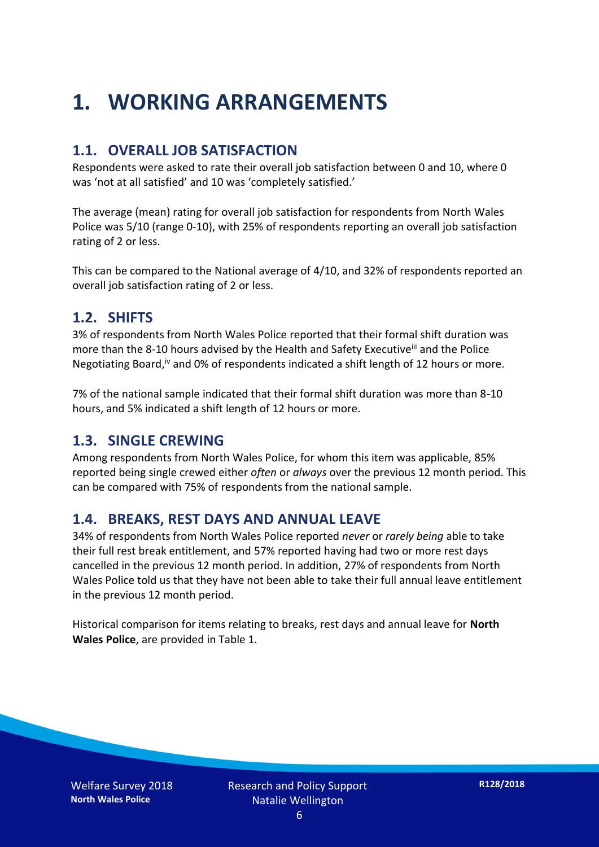## **1. WORKING ARRANGEMENTS**

### **1.1. OVERALL JOB SATISFACTION**

Respondents were asked to rate their overall job satisfaction between 0 and 10, where 0 was 'not at all satisfied' and 10 was 'completely satisfied.'

The average (mean) rating for overall job satisfaction for respondents from North Wales Police was 5/10 (range 0-10), with 25% of respondents reporting an overall job satisfaction rating of 2 or less.

This can be compared to the National average of 4/10, and 32% of respondents reported an overall job satisfaction rating of 2 or less.

#### **1.2. SHIFTS**

3% of respondents from North Wales Police reported that their formal shift duration was more than the 8-10 hours advised by the Health and Safety Executive<sup>iii</sup> and the Police Negotiating Board,<sup>iv</sup> and 0% of respondents indicated a shift length of 12 hours or more.

7% of the national sample indicated that their formal shift duration was more than 8-10 hours, and 5% indicated a shift length of 12 hours or more.

#### **1.3. SINGLE CREWING**

Among respondents from North Wales Police, for whom this item was applicable, 85% reported being single crewed either *often* or *always* over the previous 12 month period. This can be compared with 75% of respondents from the national sample.

#### **1.4. BREAKS, REST DAYS AND ANNUAL LEAVE**

34% of respondents from North Wales Police reported *never* or *rarely being* able to take their full rest break entitlement, and 57% reported having had two or more rest days cancelled in the previous 12 month period. In addition, 27% of respondents from North Wales Police told us that they have not been able to take their full annual leave entitlement in the previous 12 month period.

Historical comparison for items relating to breaks, rest days and annual leave for **North Wales Police**, are provided in Table 1.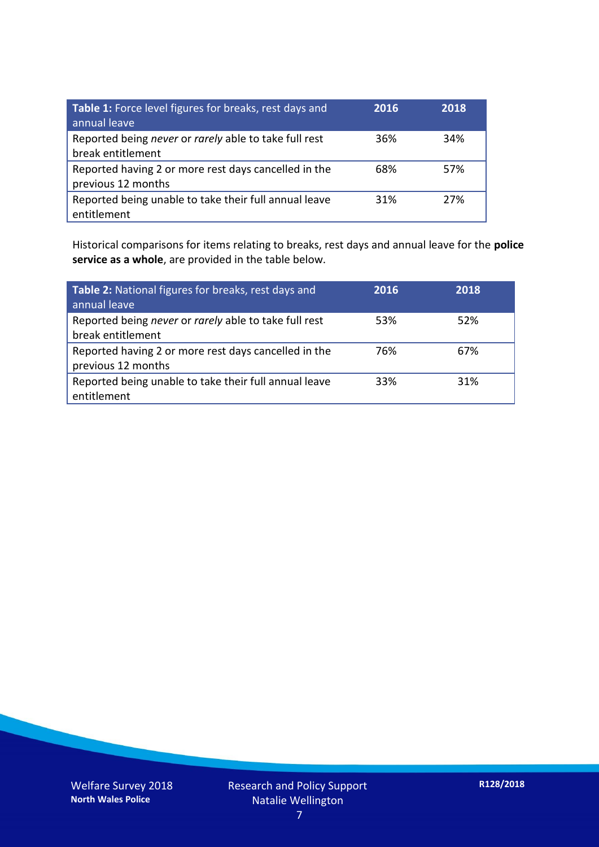| Table 1: Force level figures for breaks, rest days and<br>annual leave     | 2016 | 2018 |
|----------------------------------------------------------------------------|------|------|
| Reported being never or rarely able to take full rest<br>break entitlement | 36%  | 34%  |
| Reported having 2 or more rest days cancelled in the<br>previous 12 months | 68%  | 57%  |
| Reported being unable to take their full annual leave<br>entitlement       | 31%  | 27%  |

Historical comparisons for items relating to breaks, rest days and annual leave for the **police service as a whole**, are provided in the table below.

| Table 2: National figures for breaks, rest days and<br>annual leave        | 2016 | 2018 |
|----------------------------------------------------------------------------|------|------|
| Reported being never or rarely able to take full rest<br>break entitlement | 53%  | 52%  |
| Reported having 2 or more rest days cancelled in the<br>previous 12 months | 76%  | 67%  |
| Reported being unable to take their full annual leave<br>entitlement       | 33%  | 31%  |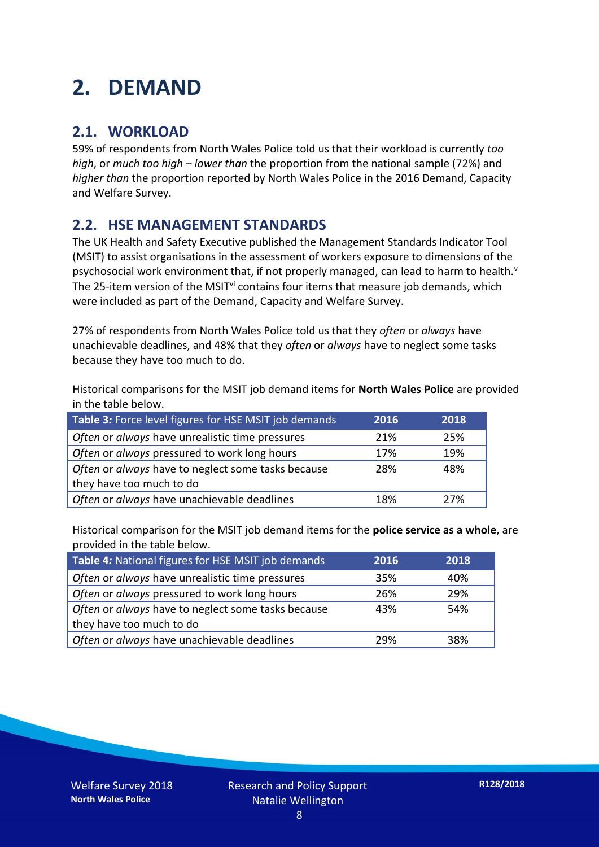## **2. DEMAND**

### **2.1. WORKLOAD**

59% of respondents from North Wales Police told us that their workload is currently *too high*, or *much too high* – *lower than* the proportion from the national sample (72%) and *higher than* the proportion reported by North Wales Police in the 2016 Demand, Capacity and Welfare Survey.

### **2.2. HSE MANAGEMENT STANDARDS**

The UK Health and Safety Executive published the Management Standards Indicator Tool (MSIT) to assist organisations in the assessment of workers exposure to dimensions of the psychosocial work environment that, if not properly managed, can lead to harm to health.<sup>v</sup> The 25-item version of the MSIT<sup>vi</sup> contains four items that measure job demands, which were included as part of the Demand, Capacity and Welfare Survey.

27% of respondents from North Wales Police told us that they *often* or *always* have unachievable deadlines, and 48% that they *often* or *always* have to neglect some tasks because they have too much to do.

Historical comparisons for the MSIT job demand items for **North Wales Police** are provided in the table below.

| Table 3: Force level figures for HSE MSIT job demands | 2016 | 2018 |
|-------------------------------------------------------|------|------|
| Often or always have unrealistic time pressures       | 21%  | 25%  |
| Often or always pressured to work long hours          | 17%  | 19%  |
| Often or always have to neglect some tasks because    | 28%  | 48%  |
| they have too much to do                              |      |      |
| Often or always have unachievable deadlines           | 18%  | 27%  |

Historical comparison for the MSIT job demand items for the **police service as a whole**, are provided in the table below.

| Table 4: National figures for HSE MSIT job demands | 2016 | 2018 |
|----------------------------------------------------|------|------|
| Often or always have unrealistic time pressures    | 35%  | 40%  |
| Often or always pressured to work long hours       | 26%  | 29%  |
| Often or always have to neglect some tasks because | 43%  | 54%  |
| they have too much to do                           |      |      |
| Often or always have unachievable deadlines        | 29%  | 38%  |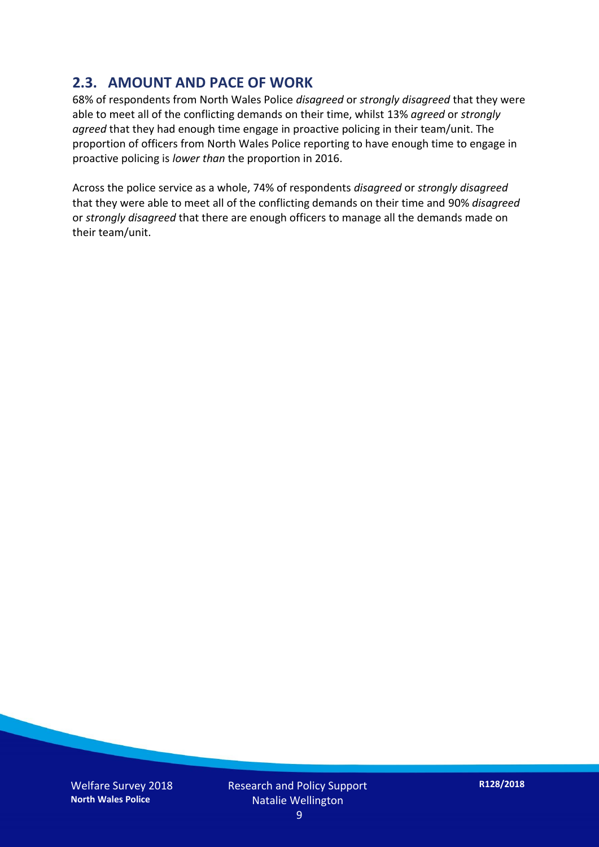### **2.3. AMOUNT AND PACE OF WORK**

68% of respondents from North Wales Police *disagreed* or *strongly disagreed* that they were able to meet all of the conflicting demands on their time, whilst 13% *agreed* or *strongly agreed* that they had enough time engage in proactive policing in their team/unit. The proportion of officers from North Wales Police reporting to have enough time to engage in proactive policing is *lower than* the proportion in 2016.

Across the police service as a whole, 74% of respondents *disagreed* or *strongly disagreed* that they were able to meet all of the conflicting demands on their time and 90% *disagreed* or *strongly disagreed* that there are enough officers to manage all the demands made on their team/unit.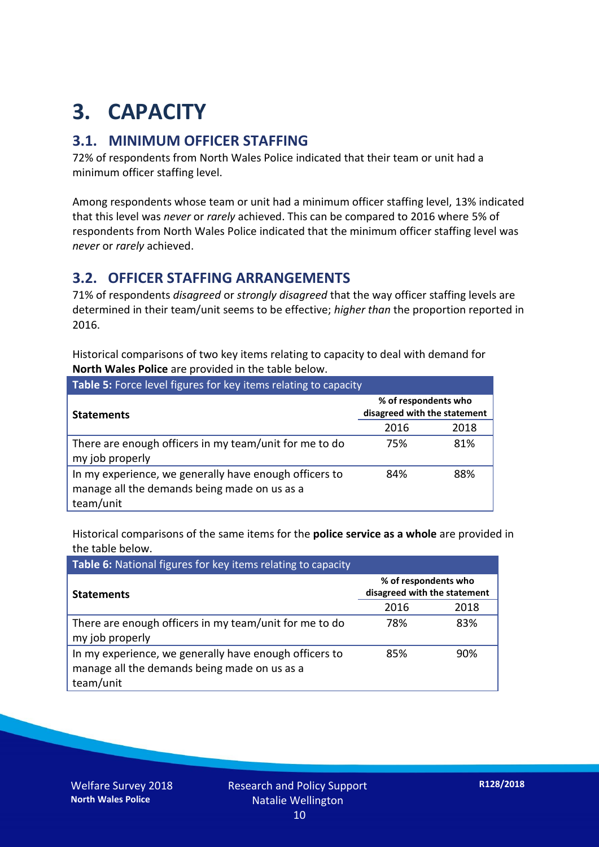## **3. CAPACITY**

### **3.1. MINIMUM OFFICER STAFFING**

72% of respondents from North Wales Police indicated that their team or unit had a minimum officer staffing level.

Among respondents whose team or unit had a minimum officer staffing level, 13% indicated that this level was *never* or *rarely* achieved. This can be compared to 2016 where 5% of respondents from North Wales Police indicated that the minimum officer staffing level was *never* or *rarely* achieved.

### **3.2. OFFICER STAFFING ARRANGEMENTS**

71% of respondents *disagreed* or *strongly disagreed* that the way officer staffing levels are determined in their team/unit seems to be effective; *higher than* the proportion reported in 2016.

Historical comparisons of two key items relating to capacity to deal with demand for **North Wales Police** are provided in the table below.

| Table 5: Force level figures for key items relating to capacity                                                     |                                                      |      |  |
|---------------------------------------------------------------------------------------------------------------------|------------------------------------------------------|------|--|
| <b>Statements</b>                                                                                                   | % of respondents who<br>disagreed with the statement |      |  |
|                                                                                                                     | 2016                                                 | 2018 |  |
| There are enough officers in my team/unit for me to do<br>my job properly                                           | 75%                                                  | 81%  |  |
| In my experience, we generally have enough officers to<br>manage all the demands being made on us as a<br>team/unit | 84%                                                  | 88%  |  |

Historical comparisons of the same items for the **police service as a whole** are provided in the table below.

| Table 6: National figures for key items relating to capacity                                                        |                                                      |      |  |  |
|---------------------------------------------------------------------------------------------------------------------|------------------------------------------------------|------|--|--|
| <b>Statements</b>                                                                                                   | % of respondents who<br>disagreed with the statement |      |  |  |
|                                                                                                                     | 2016                                                 | 2018 |  |  |
| There are enough officers in my team/unit for me to do<br>my job properly                                           | 78%                                                  | 83%  |  |  |
| In my experience, we generally have enough officers to<br>manage all the demands being made on us as a<br>team/unit | 85%                                                  | 90%  |  |  |

Welfare Survey 2018 **North Wales Police**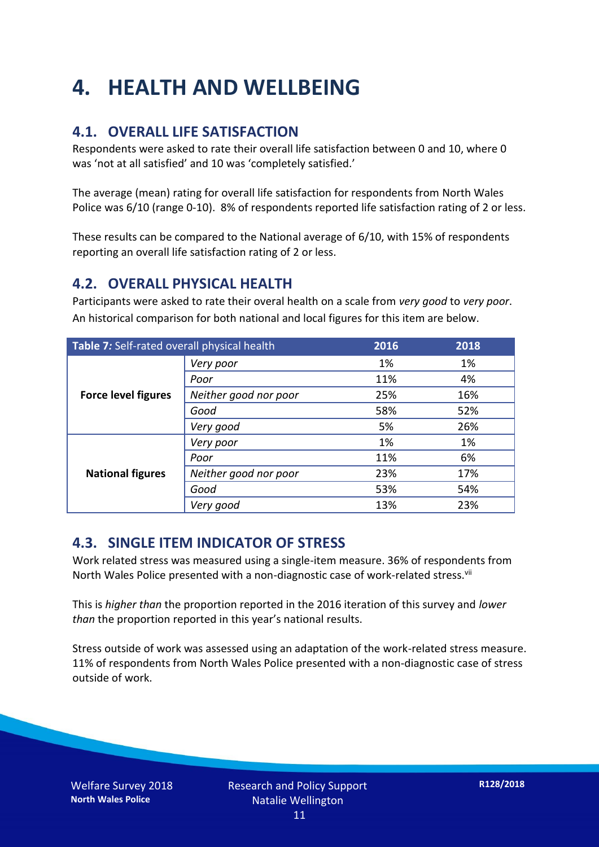## **4. HEALTH AND WELLBEING**

### **4.1. OVERALL LIFE SATISFACTION**

Respondents were asked to rate their overall life satisfaction between 0 and 10, where 0 was 'not at all satisfied' and 10 was 'completely satisfied.'

The average (mean) rating for overall life satisfaction for respondents from North Wales Police was 6/10 (range 0-10). 8% of respondents reported life satisfaction rating of 2 or less.

These results can be compared to the National average of 6/10, with 15% of respondents reporting an overall life satisfaction rating of 2 or less.

#### **4.2. OVERALL PHYSICAL HEALTH**

Participants were asked to rate their overal health on a scale from *very good* to *very poor*. An historical comparison for both national and local figures for this item are below.

| Table 7: Self-rated overall physical health |                       | 2016 | 2018 |
|---------------------------------------------|-----------------------|------|------|
|                                             | Very poor             | 1%   | 1%   |
| <b>Force level figures</b>                  | Poor                  | 11%  | 4%   |
|                                             | Neither good nor poor | 25%  | 16%  |
|                                             | Good                  | 58%  | 52%  |
|                                             | Very good             | 5%   | 26%  |
| <b>National figures</b>                     | Very poor             | 1%   | 1%   |
|                                             | Poor                  | 11%  | 6%   |
|                                             | Neither good nor poor | 23%  | 17%  |
|                                             | Good                  | 53%  | 54%  |
|                                             | Very good             | 13%  | 23%  |

#### **4.3. SINGLE ITEM INDICATOR OF STRESS**

Work related stress was measured using a single-item measure. 36% of respondents from North Wales Police presented with a non-diagnostic case of work-related stress.<sup>vii</sup>

This is *higher than* the proportion reported in the 2016 iteration of this survey and *lower than* the proportion reported in this year's national results.

Stress outside of work was assessed using an adaptation of the work-related stress measure. 11% of respondents from North Wales Police presented with a non-diagnostic case of stress outside of work.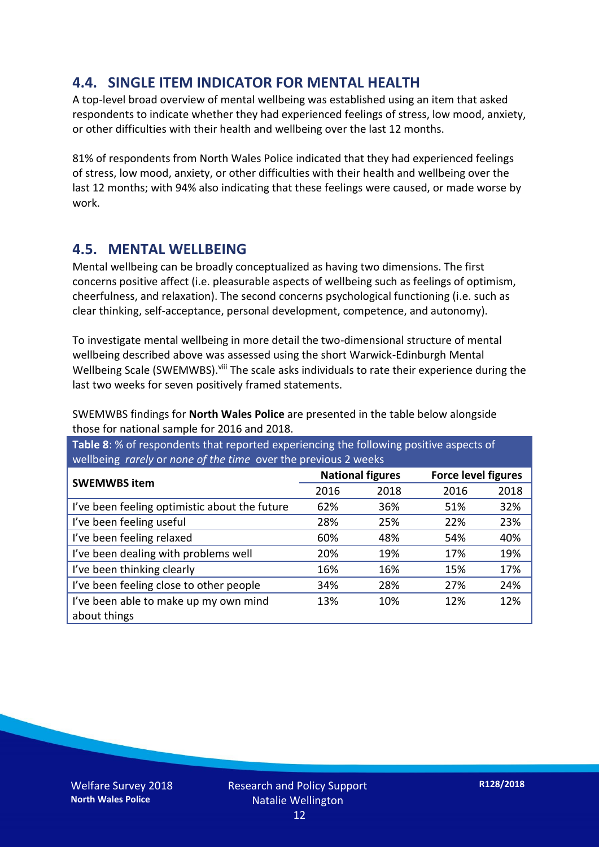### **4.4. SINGLE ITEM INDICATOR FOR MENTAL HEALTH**

A top-level broad overview of mental wellbeing was established using an item that asked respondents to indicate whether they had experienced feelings of stress, low mood, anxiety, or other difficulties with their health and wellbeing over the last 12 months.

81% of respondents from North Wales Police indicated that they had experienced feelings of stress, low mood, anxiety, or other difficulties with their health and wellbeing over the last 12 months; with 94% also indicating that these feelings were caused, or made worse by work.

#### **4.5. MENTAL WELLBEING**

Mental wellbeing can be broadly conceptualized as having two dimensions. The first concerns positive affect (i.e. pleasurable aspects of wellbeing such as feelings of optimism, cheerfulness, and relaxation). The second concerns psychological functioning (i.e. such as clear thinking, self-acceptance, personal development, competence, and autonomy).

To investigate mental wellbeing in more detail the two-dimensional structure of mental wellbeing described above was assessed using the short Warwick-Edinburgh Mental Wellbeing Scale (SWEMWBS). viii The scale asks individuals to rate their experience during the last two weeks for seven positively framed statements.

SWEMWBS findings for **North Wales Police** are presented in the table below alongside those for national sample for 2016 and 2018.

**Table 8**: % of respondents that reported experiencing the following positive aspects of wellbeing *rarely* or *none of the time* over the previous 2 weeks

| <b>SWEMWBS item</b>                           | <b>National figures</b> |      | <b>Force level figures</b> |      |
|-----------------------------------------------|-------------------------|------|----------------------------|------|
|                                               | 2016                    | 2018 | 2016                       | 2018 |
| I've been feeling optimistic about the future | 62%                     | 36%  | 51%                        | 32%  |
| I've been feeling useful                      | 28%                     | 25%  | 22%                        | 23%  |
| I've been feeling relaxed                     | 60%                     | 48%  | 54%                        | 40%  |
| I've been dealing with problems well          | 20%                     | 19%  | 17%                        | 19%  |
| I've been thinking clearly                    | 16%                     | 16%  | 15%                        | 17%  |
| I've been feeling close to other people       | 34%                     | 28%  | 27%                        | 24%  |
| I've been able to make up my own mind         | 13%                     | 10%  | 12%                        | 12%  |
| about things                                  |                         |      |                            |      |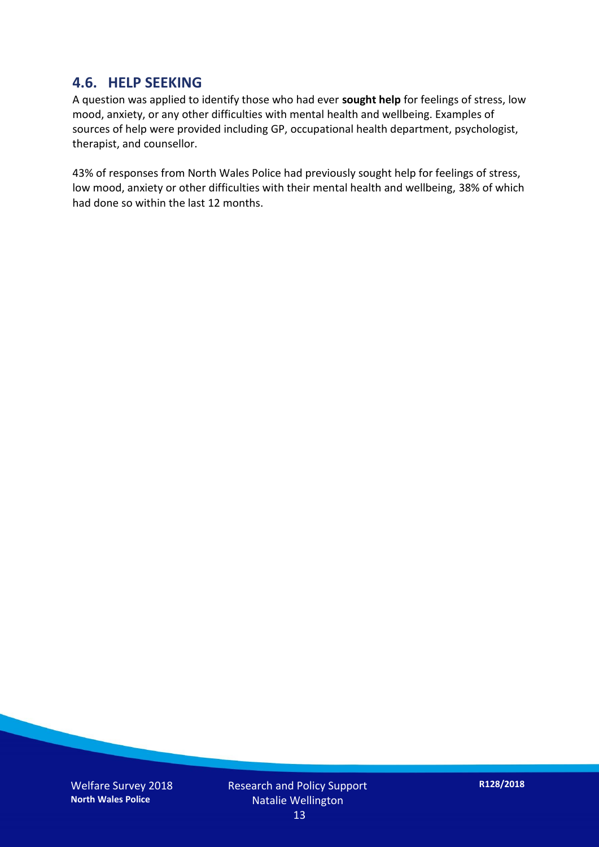#### **4.6. HELP SEEKING**

A question was applied to identify those who had ever **sought help** for feelings of stress, low mood, anxiety, or any other difficulties with mental health and wellbeing. Examples of sources of help were provided including GP, occupational health department, psychologist, therapist, and counsellor.

43% of responses from North Wales Police had previously sought help for feelings of stress, low mood, anxiety or other difficulties with their mental health and wellbeing, 38% of which had done so within the last 12 months.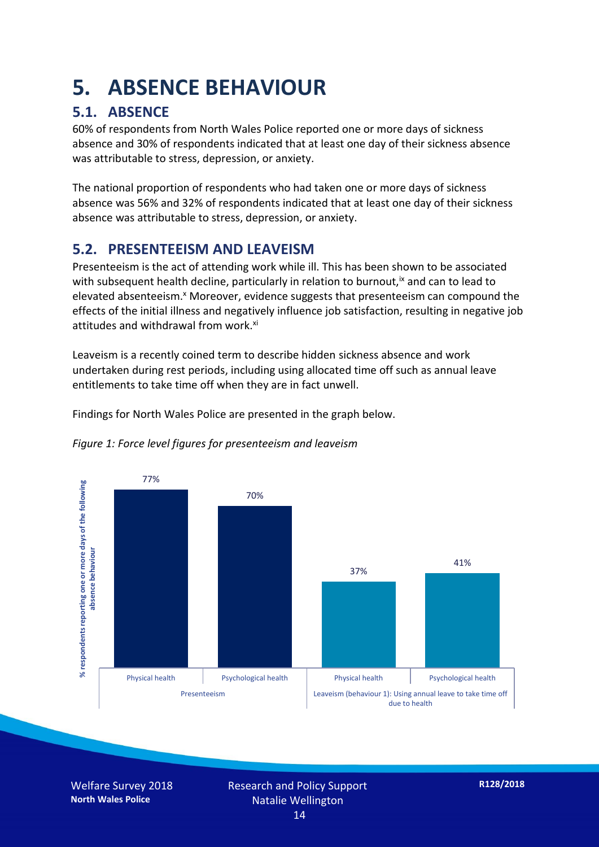## **5. ABSENCE BEHAVIOUR**

## **5.1. ABSENCE**

60% of respondents from North Wales Police reported one or more days of sickness absence and 30% of respondents indicated that at least one day of their sickness absence was attributable to stress, depression, or anxiety.

The national proportion of respondents who had taken one or more days of sickness absence was 56% and 32% of respondents indicated that at least one day of their sickness absence was attributable to stress, depression, or anxiety.

### **5.2. PRESENTEEISM AND LEAVEISM**

Presenteeism is the act of attending work while ill. This has been shown to be associated with subsequent health decline, particularly in relation to burnout,  $\alpha$  and can to lead to elevated absenteeism.<sup>x</sup> Moreover, evidence suggests that presenteeism can compound the effects of the initial illness and negatively influence job satisfaction, resulting in negative job attitudes and withdrawal from work.<sup>xi</sup>

Leaveism is a recently coined term to describe hidden sickness absence and work undertaken during rest periods, including using allocated time off such as annual leave entitlements to take time off when they are in fact unwell.

Findings for North Wales Police are presented in the graph below.



*Figure 1: Force level figures for presenteeism and leaveism*

Welfare Survey 2018 **North Wales Police**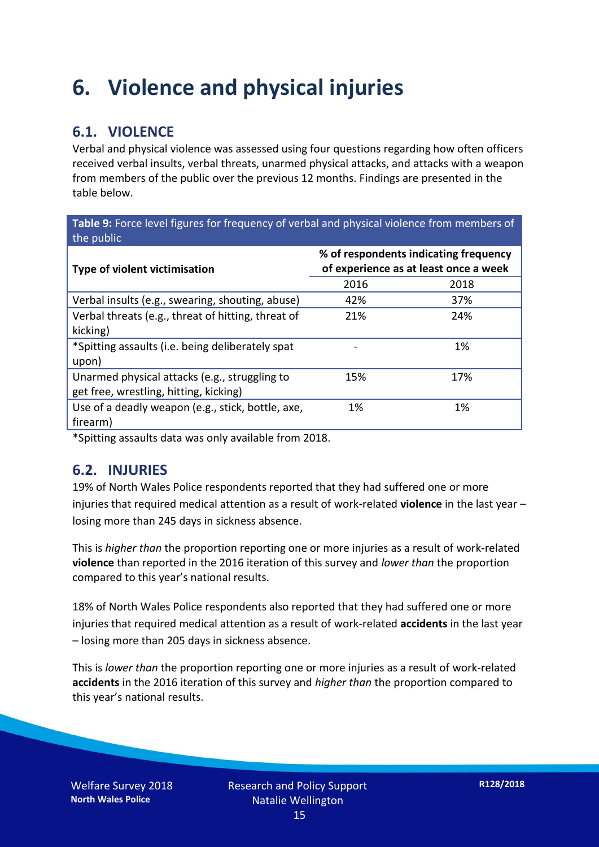## **6. Violence and physical injuries**

### **6.1. VIOLENCE**

Verbal and physical violence was assessed using four questions regarding how often officers received verbal insults, verbal threats, unarmed physical attacks, and attacks with a weapon from members of the public over the previous 12 months. Findings are presented in the table below.

**Table 9:** Force level figures for frequency of verbal and physical violence from members of the public

| <b>Type of violent victimisation</b>               | % of respondents indicating frequency<br>of experience as at least once a week |      |  |
|----------------------------------------------------|--------------------------------------------------------------------------------|------|--|
|                                                    | 2016                                                                           | 2018 |  |
| Verbal insults (e.g., swearing, shouting, abuse)   | 42%                                                                            | 37%  |  |
| Verbal threats (e.g., threat of hitting, threat of | 21%                                                                            | 24%  |  |
| kicking)                                           |                                                                                |      |  |
| *Spitting assaults (i.e. being deliberately spat   |                                                                                | 1%   |  |
| upon)                                              |                                                                                |      |  |
| Unarmed physical attacks (e.g., struggling to      | 15%                                                                            | 17%  |  |
| get free, wrestling, hitting, kicking)             |                                                                                |      |  |
| Use of a deadly weapon (e.g., stick, bottle, axe,  | 1%                                                                             | 1%   |  |
| firearm)                                           |                                                                                |      |  |

\*Spitting assaults data was only available from 2018.

#### **6.2. INJURIES**

19% of North Wales Police respondents reported that they had suffered one or more injuries that required medical attention as a result of work-related **violence** in the last year – losing more than 245 days in sickness absence.

This is *higher than* the proportion reporting one or more injuries as a result of work-related **violence** than reported in the 2016 iteration of this survey and *lower than* the proportion compared to this year's national results.

18% of North Wales Police respondents also reported that they had suffered one or more injuries that required medical attention as a result of work-related **accidents** in the last year – losing more than 205 days in sickness absence.

This is *lower than* the proportion reporting one or more injuries as a result of work-related **accidents** in the 2016 iteration of this survey and *higher than* the proportion compared to this year's national results.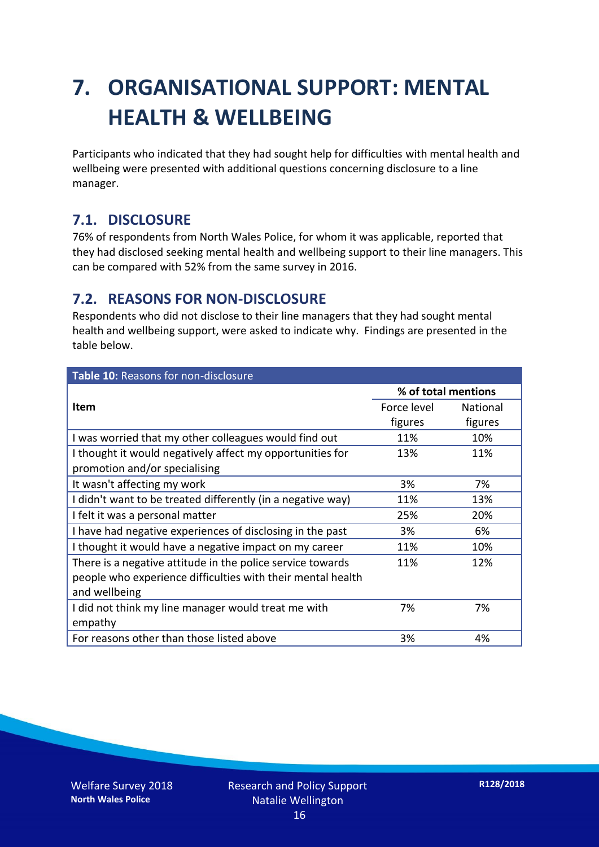## **7. ORGANISATIONAL SUPPORT: MENTAL HEALTH & WELLBEING**

Participants who indicated that they had sought help for difficulties with mental health and wellbeing were presented with additional questions concerning disclosure to a line manager.

### **7.1. DISCLOSURE**

76% of respondents from North Wales Police, for whom it was applicable, reported that they had disclosed seeking mental health and wellbeing support to their line managers. This can be compared with 52% from the same survey in 2016.

### **7.2. REASONS FOR NON-DISCLOSURE**

Respondents who did not disclose to their line managers that they had sought mental health and wellbeing support, were asked to indicate why. Findings are presented in the table below.

| Table 10: Reasons for non-disclosure                        |                     |                 |  |
|-------------------------------------------------------------|---------------------|-----------------|--|
|                                                             | % of total mentions |                 |  |
| <b>Item</b>                                                 | Force level         | <b>National</b> |  |
|                                                             | figures             | figures         |  |
| I was worried that my other colleagues would find out       | 11%                 | 10%             |  |
| I thought it would negatively affect my opportunities for   | 13%                 | 11%             |  |
| promotion and/or specialising                               |                     |                 |  |
| It wasn't affecting my work                                 | 3%                  | 7%              |  |
| I didn't want to be treated differently (in a negative way) | 11%                 | 13%             |  |
| I felt it was a personal matter                             | 25%                 | 20%             |  |
| I have had negative experiences of disclosing in the past   | 3%                  | 6%              |  |
| I thought it would have a negative impact on my career      | 11%                 | 10%             |  |
| There is a negative attitude in the police service towards  | 11%                 | 12%             |  |
| people who experience difficulties with their mental health |                     |                 |  |
| and wellbeing                                               |                     |                 |  |
| I did not think my line manager would treat me with         | 7%                  | 7%              |  |
| empathy                                                     |                     |                 |  |
| For reasons other than those listed above                   | 3%                  | 4%              |  |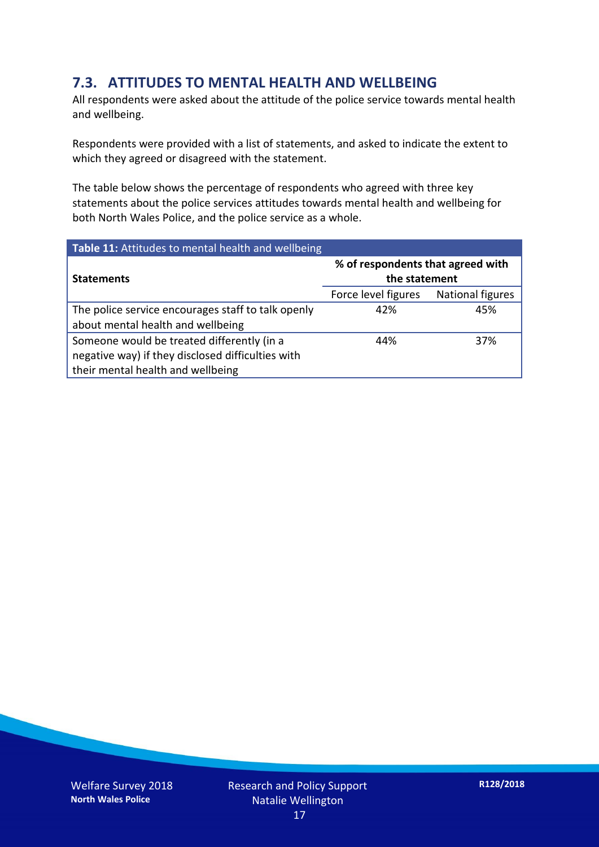### **7.3. ATTITUDES TO MENTAL HEALTH AND WELLBEING**

All respondents were asked about the attitude of the police service towards mental health and wellbeing.

Respondents were provided with a list of statements, and asked to indicate the extent to which they agreed or disagreed with the statement.

The table below shows the percentage of respondents who agreed with three key statements about the police services attitudes towards mental health and wellbeing for both North Wales Police, and the police service as a whole.

| Table 11: Attitudes to mental health and wellbeing |                                                    |                         |  |
|----------------------------------------------------|----------------------------------------------------|-------------------------|--|
| <b>Statements</b>                                  | % of respondents that agreed with<br>the statement |                         |  |
|                                                    | Force level figures                                | <b>National figures</b> |  |
| The police service encourages staff to talk openly | 42%                                                | 45%                     |  |
| about mental health and wellbeing                  |                                                    |                         |  |
| Someone would be treated differently (in a         | 44%                                                | 37%                     |  |
| negative way) if they disclosed difficulties with  |                                                    |                         |  |
| their mental health and wellbeing                  |                                                    |                         |  |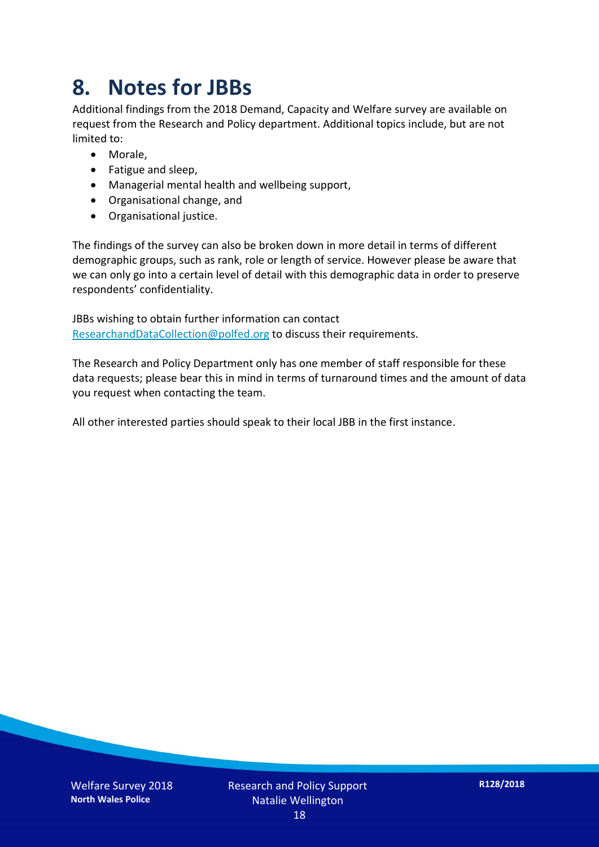## **8. Notes for JBBs**

Additional findings from the 2018 Demand, Capacity and Welfare survey are available on request from the Research and Policy department. Additional topics include, but are not limited to:

- Morale,
- Fatigue and sleep,
- Managerial mental health and wellbeing support,
- Organisational change, and
- Organisational justice.

The findings of the survey can also be broken down in more detail in terms of different demographic groups, such as rank, role or length of service. However please be aware that we can only go into a certain level of detail with this demographic data in order to preserve respondents' confidentiality.

JBBs wishing to obtain further information can contact [ResearchandDataCollection@polfed.org](mailto:ResearchandDataCollection@polfed.org) to discuss their requirements.

The Research and Policy Department only has one member of staff responsible for these data requests; please bear this in mind in terms of turnaround times and the amount of data you request when contacting the team.

All other interested parties should speak to their local JBB in the first instance.